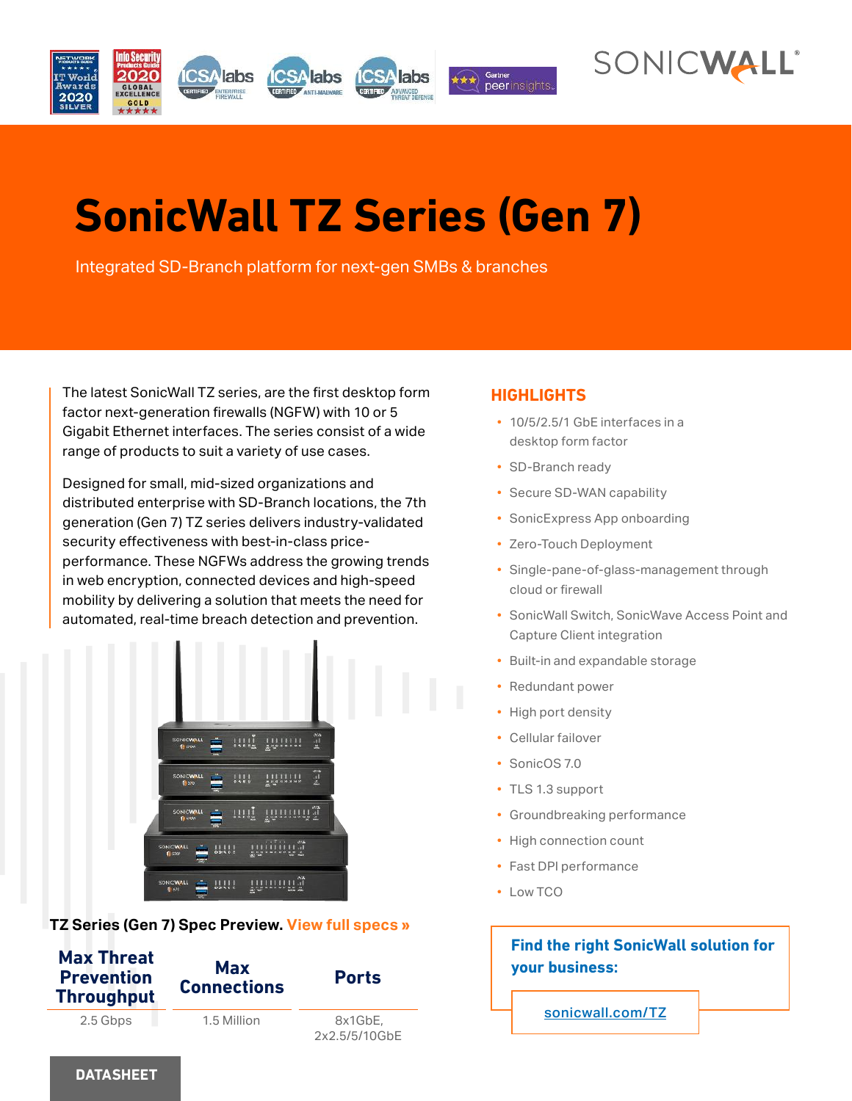



# **SonicWall TZ Series (Gen 7)**

Integrated SD-Branch platform for next-gen SMBs & branches

The latest SonicWall TZ series, are the first desktop form factor next-generation firewalls (NGFW) with 10 or 5 Gigabit Ethernet interfaces. The series consist of a wide range of products to suit a variety of use cases.

Designed for small, mid-sized organizations and distributed enterprise with SD-Branch locations, the 7th generation (Gen 7) TZ series delivers industry-validated security effectiveness with best-in-class priceperformance. These NGFWs address the growing trends in web encryption, connected devices and high-speed mobility by delivering a solution that meets the need for automated, real-time breach detection and prevention.



# **TZ Series (Gen 7) Spec Preview. View full specs »**



# **HIGHLIGHTS**

- 10/5/2.5/1 GbE interfaces in a desktop form factor
- SD-Branch ready
- Secure SD-WAN capability
- SonicExpress App onboarding
- Zero-Touch Deployment
- Single-pane-of-glass-management through cloud or firewall
- SonicWall Switch, SonicWave Access Point and Capture Client integration
- Built-in and expandable storage
- Redundant power
- High port density
- Cellular failover
- SonicOS 7.0
- TLS 1.3 support
- Groundbreaking performance
- High connection count
- Fast DPI performance
- Low TCO

# **Find the right SonicWall solution for your business:**

sonicwall.com/TZ

#### **DATASHEET**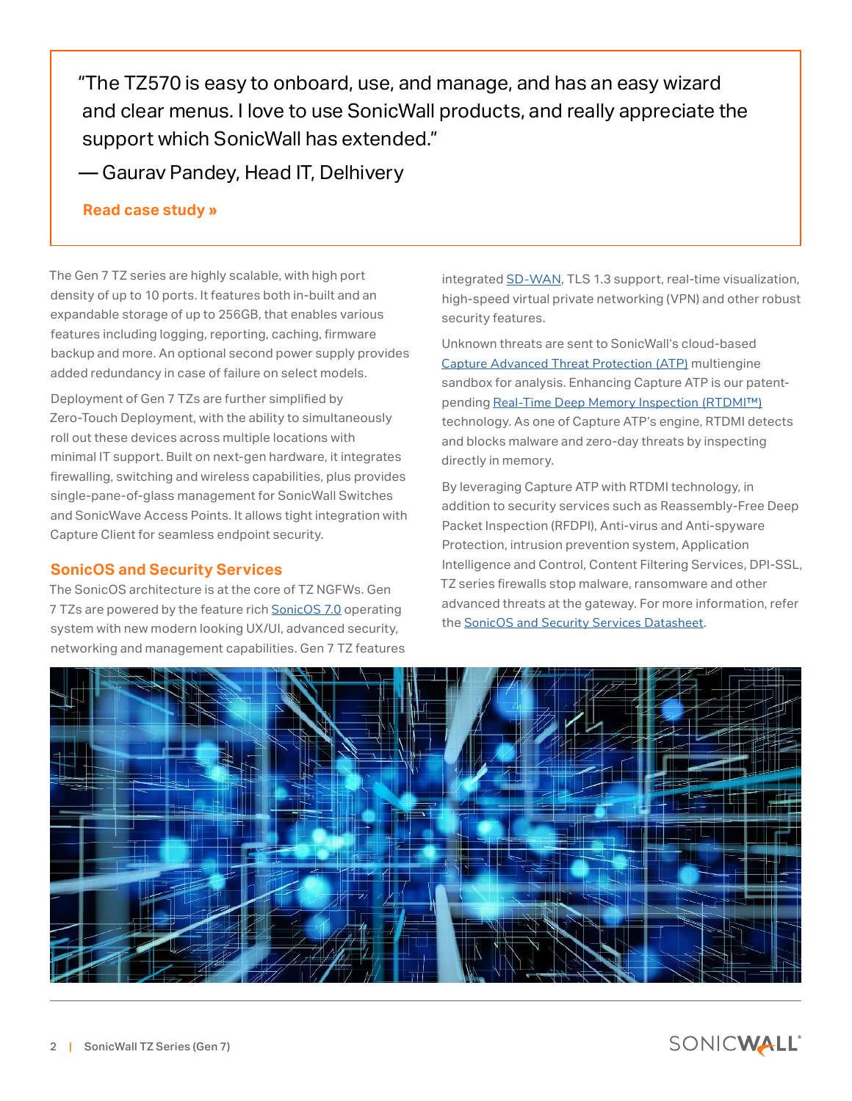"The TZ570 is easy to onboard, use, and manage, and has an easy wizard and clear menus. I love to use SonicWall products, and really appreciate the support which SonicWall has extended."

— Gaurav Pandey, Head IT, Delhivery

# **Read case study »**

The Gen 7 TZ series are highly scalable, with high port density of up to 10 ports. It features both in-built and an expandable storage of up to 256GB, that enables various features including logging, reporting, caching, firmware backup and more. An optional second power supply provides added redundancy in case of failure on select models.

Deployment of Gen 7 TZs are further simplified by Zero-Touch Deployment, with the ability to simultaneously roll out these devices across multiple locations with minimal IT support. Built on next-gen hardware, it integrates firewalling, switching and wireless capabilities, plus provides single-pane-of-glass management for SonicWall Switches and SonicWave Access Points. It allows tight integration with Capture Client for seamless endpoint security.

# **SonicOS and Security Services**

The SonicOS architecture is at the core of TZ NGFWs. Gen 7 TZs are powered by the feature rich SonicOS 7.0 operating system with new modern looking UX/UI, advanced security, networking and management capabilities. Gen 7 TZ features integrated SD-WAN, TLS 1.3 support, real-time visualization, high-speed virtual private networking (VPN) and other robust security features.

Unknown threats are sent to SonicWall's cloud-based Capture Advanced Threat Protection (ATP) multiengine sandbox for analysis. Enhancing Capture ATP is our patentpending Real-Time Deep Memory Inspection (RTDMI™) technology. As one of Capture ATP's engine, RTDMI detects and blocks malware and zero-day threats by inspecting directly in memory.

By leveraging Capture ATP with RTDMI technology, in addition to security services such as Reassembly-Free Deep Packet Inspection (RFDPI), Anti-virus and Anti-spyware Protection, intrusion prevention system, Application Intelligence and Control, Content Filtering Services, DPI-SSL, TZ series firewalls stop malware, ransomware and other advanced threats at the gateway. For more information, refer the SonicOS and Security Services Datasheet.



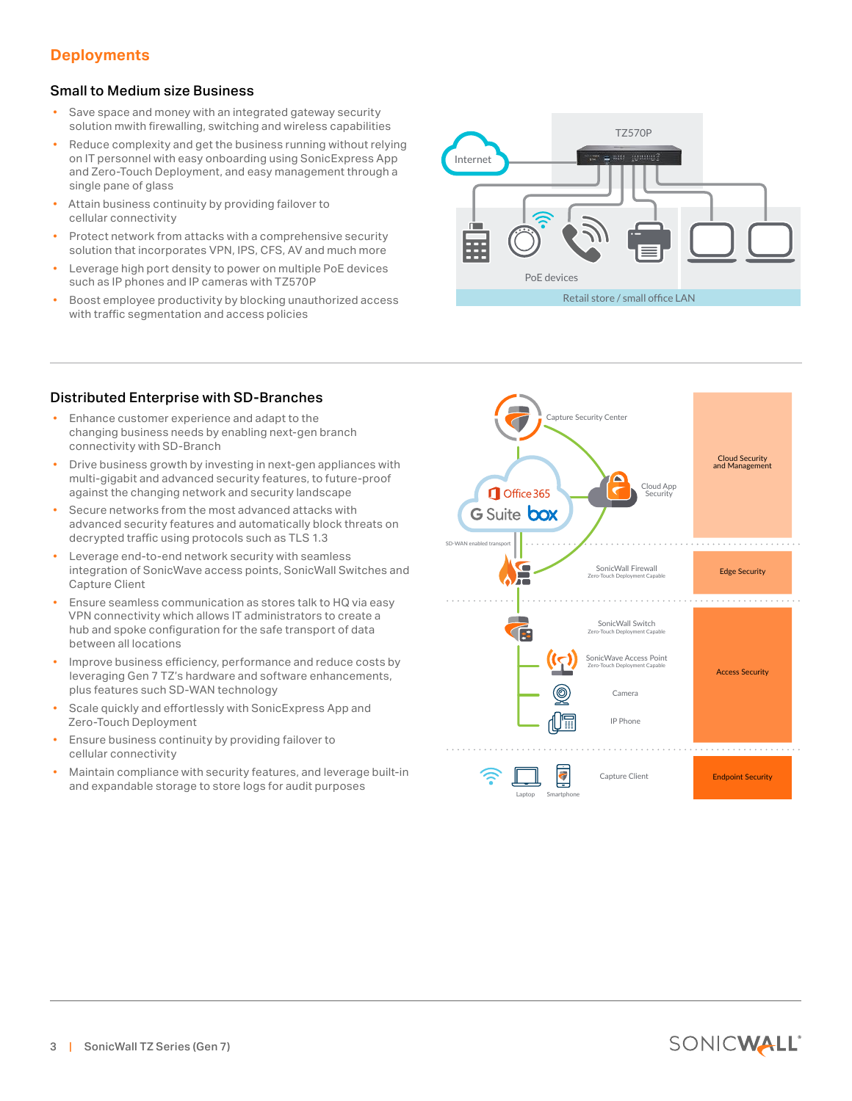# **Deployments**

#### Small to Medium size Business

- Save space and money with an integrated gateway security solution mwith firewalling, switching and wireless capabilities
- Reduce complexity and get the business running without relying on IT personnel with easy onboarding using SonicExpress App and Zero-Touch Deployment, and easy management through a single pane of glass
- Attain business continuity by providing failover to cellular connectivity
- Protect network from attacks with a comprehensive security solution that incorporates VPN, IPS, CFS, AV and much more
- Leverage high port density to power on multiple PoE devices such as IP phones and IP cameras with TZ570P
- Boost employee productivity by blocking unauthorized access with traffic segmentation and access policies



#### Distributed Enterprise with SD-Branches

- Enhance customer experience and adapt to the changing business needs by enabling next-gen branch connectivity with SD-Branch
- Drive business growth by investing in next-gen appliances with multi-gigabit and advanced security features, to future-proof against the changing network and security landscape
- Secure networks from the most advanced attacks with advanced security features and automatically block threats on decrypted traffic using protocols such as TLS 1.3
- Leverage end-to-end network security with seamless integration of SonicWave access points, SonicWall Switches and Capture Client
- Ensure seamless communication as stores talk to HQ via easy VPN connectivity which allows IT administrators to create a hub and spoke configuration for the safe transport of data between all locations
- Improve business efficiency, performance and reduce costs by leveraging Gen 7 TZ's hardware and software enhancements, plus features such SD-WAN technology
- Scale quickly and effortlessly with SonicExpress App and Zero-Touch Deployment
- Ensure business continuity by providing failover to cellular connectivity
- Maintain compliance with security features, and leverage built-in and expandable storage to store logs for audit purposes

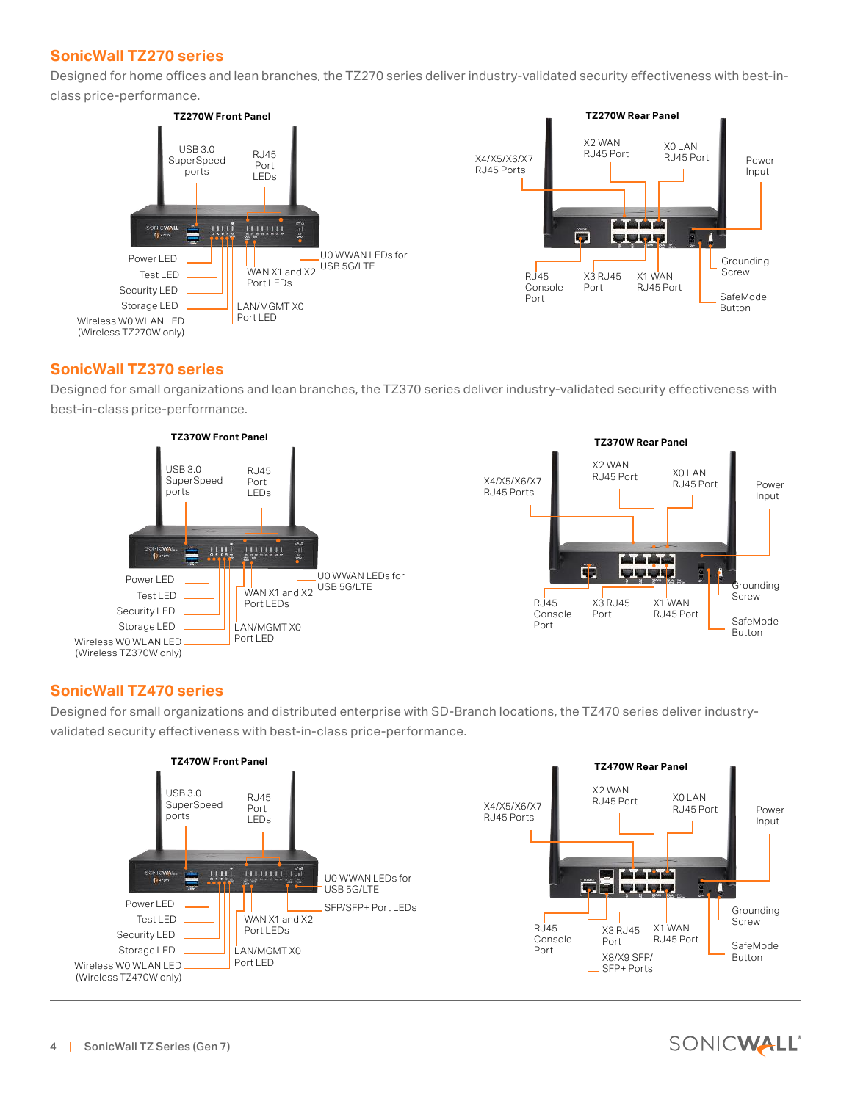# **SonicWall TZ270 series**

Designed for home offices and lean branches, the TZ270 series deliver industry-validated security effectiveness with best-inclass price-performance.



# **SonicWall TZ370 series**

Designed for small organizations and lean branches, the TZ370 series deliver industry-validated security effectiveness with best-in-class price-performance.





# **SonicWall TZ470 series**

Designed for small organizations and distributed enterprise with SD-Branch locations, the TZ470 series deliver industryvalidated security effectiveness with best-in-class price-performance.



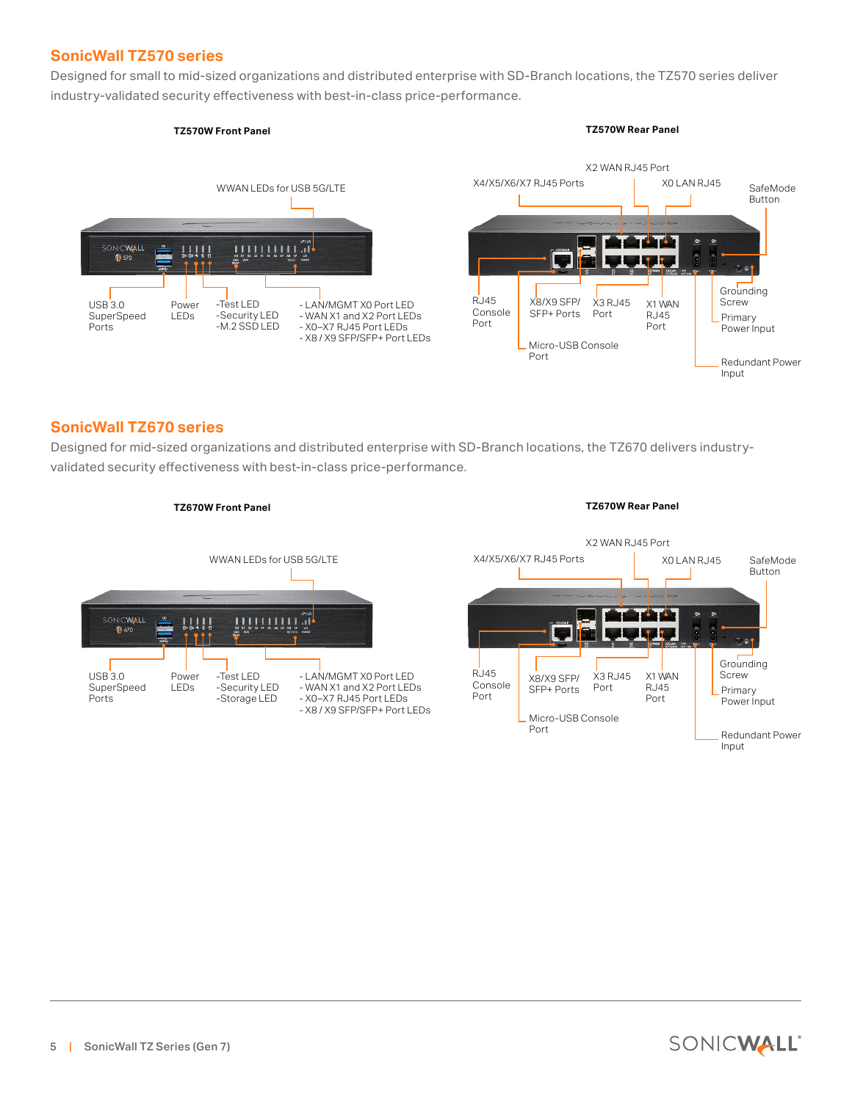# **SonicWall TZ570 series**

Designed for small to mid-sized organizations and distributed enterprise with SD-Branch locations, the TZ570 series deliver industry-validated security effectiveness with best-in-class price-performance.



# **SonicWall TZ670 series**

Designed for mid-sized organizations and distributed enterprise with SD-Branch locations, the TZ670 delivers industryvalidated security effectiveness with best-in-class price-performance.





Input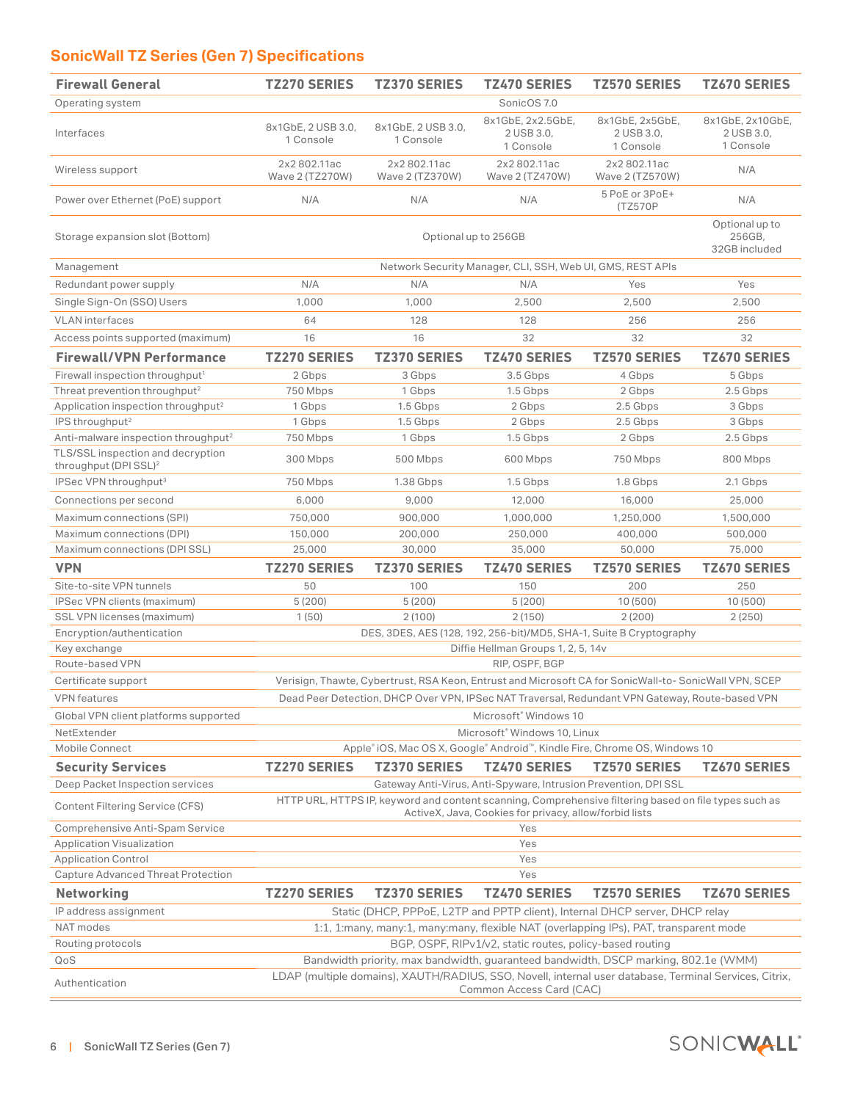# **SonicWall TZ Series (Gen 7) Specifications**

| <b>Firewall General</b>                                                | <b>TZ270 SERIES</b>                                                                                                                                             | <b>TZ370 SERIES</b>                       | <b>TZ470 SERIES</b>                                             | <b>TZ570 SERIES</b>                                                          | <b>TZ670 SERIES</b>                         |  |
|------------------------------------------------------------------------|-----------------------------------------------------------------------------------------------------------------------------------------------------------------|-------------------------------------------|-----------------------------------------------------------------|------------------------------------------------------------------------------|---------------------------------------------|--|
| Operating system                                                       |                                                                                                                                                                 |                                           | SonicOS 7.0                                                     |                                                                              |                                             |  |
| Interfaces                                                             | 8x1GbE, 2 USB 3.0,<br>1 Console                                                                                                                                 | 8x1GbE, 2 USB 3.0,<br>1 Console           | 8x1GbE, 2x2.5GbE,<br>2 USB 3.0,<br>1 Console                    | 8x1GbE, 2x5GbE,<br>2 USB 3.0,<br>1 Console                                   | 8x1GbE, 2x10GbE,<br>2 USB 3.0,<br>1 Console |  |
| Wireless support                                                       | 2x2 802.11ac<br>Wave 2 (TZ270W)                                                                                                                                 | 2x2802.11ac<br>Wave 2 (TZ370W)            | 2x2 802.11ac<br>Wave 2 (TZ470W)                                 | 2x2 802.11ac<br>Wave 2 (TZ570W)                                              | N/A                                         |  |
| Power over Ethernet (PoE) support                                      | N/A                                                                                                                                                             | N/A                                       | N/A                                                             | 5 PoE or 3PoE+<br>(TZ570P                                                    | N/A                                         |  |
| Storage expansion slot (Bottom)                                        |                                                                                                                                                                 | Optional up to<br>256GB,<br>32GB included |                                                                 |                                                                              |                                             |  |
| Management                                                             |                                                                                                                                                                 |                                           | Network Security Manager, CLI, SSH, Web UI, GMS, REST APIs      |                                                                              |                                             |  |
| Redundant power supply                                                 | N/A                                                                                                                                                             | N/A                                       | N/A                                                             | Yes                                                                          | Yes                                         |  |
| Single Sign-On (SSO) Users                                             | 1,000                                                                                                                                                           | 1,000                                     | 2,500                                                           | 2,500                                                                        | 2,500                                       |  |
| <b>VLAN</b> interfaces                                                 | 64                                                                                                                                                              | 128                                       | 128                                                             | 256                                                                          | 256                                         |  |
| Access points supported (maximum)                                      | 16                                                                                                                                                              | 16                                        | 32                                                              | 32                                                                           | 32                                          |  |
| <b>Firewall/VPN Performance</b>                                        | <b>TZ270 SERIES</b>                                                                                                                                             | <b>TZ370 SERIES</b>                       | <b>TZ470 SERIES</b>                                             | <b>TZ570 SERIES</b>                                                          | <b>TZ670 SERIES</b>                         |  |
| Firewall inspection throughput <sup>1</sup>                            | 2 Gbps                                                                                                                                                          | 3 Gbps                                    | 3.5 Gbps                                                        | 4 Gbps                                                                       | 5 Gbps                                      |  |
| Threat prevention throughput <sup>2</sup>                              | 750 Mbps                                                                                                                                                        | 1 Gbps                                    | 1.5 Gbps                                                        | 2 Gbps                                                                       | 2.5 Gbps                                    |  |
| Application inspection throughput <sup>2</sup>                         | 1 Gbps                                                                                                                                                          | 1.5 Gbps                                  | 2 Gbps                                                          | 2.5 Gbps                                                                     | 3 Gbps                                      |  |
| IPS throughput <sup>2</sup>                                            | 1 Gbps                                                                                                                                                          | 1.5 Gbps                                  | 2 Gbps                                                          | 2.5 Gbps                                                                     | 3 Gbps                                      |  |
| Anti-malware inspection throughput <sup>2</sup>                        | 750 Mbps                                                                                                                                                        | 1 Gbps                                    | 1.5 Gbps                                                        | 2 Gbps                                                                       | 2.5 Gbps                                    |  |
| TLS/SSL inspection and decryption<br>throughput (DPI SSL) <sup>2</sup> | 300 Mbps                                                                                                                                                        | 500 Mbps                                  | 600 Mbps                                                        | 750 Mbps                                                                     | 800 Mbps                                    |  |
| IPSec VPN throughput <sup>3</sup>                                      | 750 Mbps                                                                                                                                                        | 1.38 Gbps                                 | 1.5 Gbps                                                        | 1.8 Gbps                                                                     | 2.1 Gbps                                    |  |
| Connections per second                                                 | 6,000                                                                                                                                                           | 9,000                                     | 12,000                                                          | 16,000                                                                       | 25,000                                      |  |
| Maximum connections (SPI)                                              | 750,000                                                                                                                                                         | 900,000                                   | 1,000,000                                                       | 1,250,000                                                                    | 1,500,000                                   |  |
| Maximum connections (DPI)                                              | 150,000                                                                                                                                                         | 200,000                                   | 250,000                                                         | 400,000                                                                      | 500,000                                     |  |
| Maximum connections (DPI SSL)                                          | 25,000                                                                                                                                                          | 30,000                                    | 35,000                                                          | 50,000                                                                       | 75,000                                      |  |
| <b>VPN</b>                                                             | <b>TZ270 SERIES</b>                                                                                                                                             | <b>TZ370 SERIES</b>                       | <b>TZ470 SERIES</b>                                             | <b>TZ570 SERIES</b>                                                          | <b>TZ670 SERIES</b>                         |  |
| Site-to-site VPN tunnels                                               | 50                                                                                                                                                              | 100                                       | 150                                                             | 200                                                                          | 250                                         |  |
| IPSec VPN clients (maximum)                                            | 5(200)                                                                                                                                                          | 5(200)                                    | 5(200)                                                          | 10 (500)                                                                     | 10 (500)                                    |  |
| <b>SSL VPN licenses (maximum)</b>                                      | 1(50)                                                                                                                                                           | 2(100)                                    | 2(150)                                                          | 2(200)                                                                       | 2(250)                                      |  |
| Encryption/authentication                                              |                                                                                                                                                                 |                                           |                                                                 | DES, 3DES, AES (128, 192, 256-bit)/MD5, SHA-1, Suite B Cryptography          |                                             |  |
| Key exchange                                                           | Diffie Hellman Groups 1, 2, 5, 14v                                                                                                                              |                                           |                                                                 |                                                                              |                                             |  |
| Route-based VPN                                                        | RIP, OSPF, BGP                                                                                                                                                  |                                           |                                                                 |                                                                              |                                             |  |
| Certificate support                                                    | Verisign, Thawte, Cybertrust, RSA Keon, Entrust and Microsoft CA for SonicWall-to-SonicWall VPN, SCEP                                                           |                                           |                                                                 |                                                                              |                                             |  |
| <b>VPN</b> features                                                    | Dead Peer Detection, DHCP Over VPN, IPSec NAT Traversal, Redundant VPN Gateway, Route-based VPN                                                                 |                                           |                                                                 |                                                                              |                                             |  |
| Global VPN client platforms supported                                  | Microsoft <sup>®</sup> Windows 10                                                                                                                               |                                           |                                                                 |                                                                              |                                             |  |
| NetExtender                                                            | Microsoft <sup>®</sup> Windows 10, Linux                                                                                                                        |                                           |                                                                 |                                                                              |                                             |  |
| Mobile Connect                                                         |                                                                                                                                                                 |                                           |                                                                 | Apple® iOS, Mac OS X, Google® Android™, Kindle Fire, Chrome OS, Windows 10   |                                             |  |
| <b>Security Services</b>                                               | <b>TZ270 SERIES</b>                                                                                                                                             | <b>TZ370 SERIES</b>                       | <b>TZ470 SERIES</b>                                             | <b>TZ570 SERIES</b>                                                          | <b>TZ670 SERIES</b>                         |  |
| Deep Packet Inspection services                                        |                                                                                                                                                                 |                                           | Gateway Anti-Virus, Anti-Spyware, Intrusion Prevention, DPI SSL |                                                                              |                                             |  |
| <b>Content Filtering Service (CFS)</b>                                 | HTTP URL, HTTPS IP, keyword and content scanning, Comprehensive filtering based on file types such as<br>ActiveX, Java, Cookies for privacy, allow/forbid lists |                                           |                                                                 |                                                                              |                                             |  |
| Comprehensive Anti-Spam Service                                        | Yes                                                                                                                                                             |                                           |                                                                 |                                                                              |                                             |  |
| <b>Application Visualization</b>                                       | Yes                                                                                                                                                             |                                           |                                                                 |                                                                              |                                             |  |
| <b>Application Control</b>                                             | Yes                                                                                                                                                             |                                           |                                                                 |                                                                              |                                             |  |
| <b>Capture Advanced Threat Protection</b>                              |                                                                                                                                                                 |                                           | Yes                                                             |                                                                              |                                             |  |
| <b>Networking</b>                                                      | <b>TZ270 SERIES</b>                                                                                                                                             | <b>TZ370 SERIES</b>                       | <b>TZ470 SERIES</b>                                             | <b>TZ570 SERIES</b>                                                          | <b>TZ670 SERIES</b>                         |  |
| IP address assignment                                                  |                                                                                                                                                                 |                                           |                                                                 | Static (DHCP, PPPoE, L2TP and PPTP client), Internal DHCP server, DHCP relay |                                             |  |
| NAT modes                                                              | 1:1, 1:many, many:1, many:many, flexible NAT (overlapping IPs), PAT, transparent mode                                                                           |                                           |                                                                 |                                                                              |                                             |  |
| Routing protocols                                                      | BGP, OSPF, RIPv1/v2, static routes, policy-based routing                                                                                                        |                                           |                                                                 |                                                                              |                                             |  |
| QoS                                                                    | Bandwidth priority, max bandwidth, guaranteed bandwidth, DSCP marking, 802.1e (WMM)                                                                             |                                           |                                                                 |                                                                              |                                             |  |
| Authentication                                                         | LDAP (multiple domains), XAUTH/RADIUS, SSO, Novell, internal user database, Terminal Services, Citrix,<br>Common Access Card (CAC)                              |                                           |                                                                 |                                                                              |                                             |  |

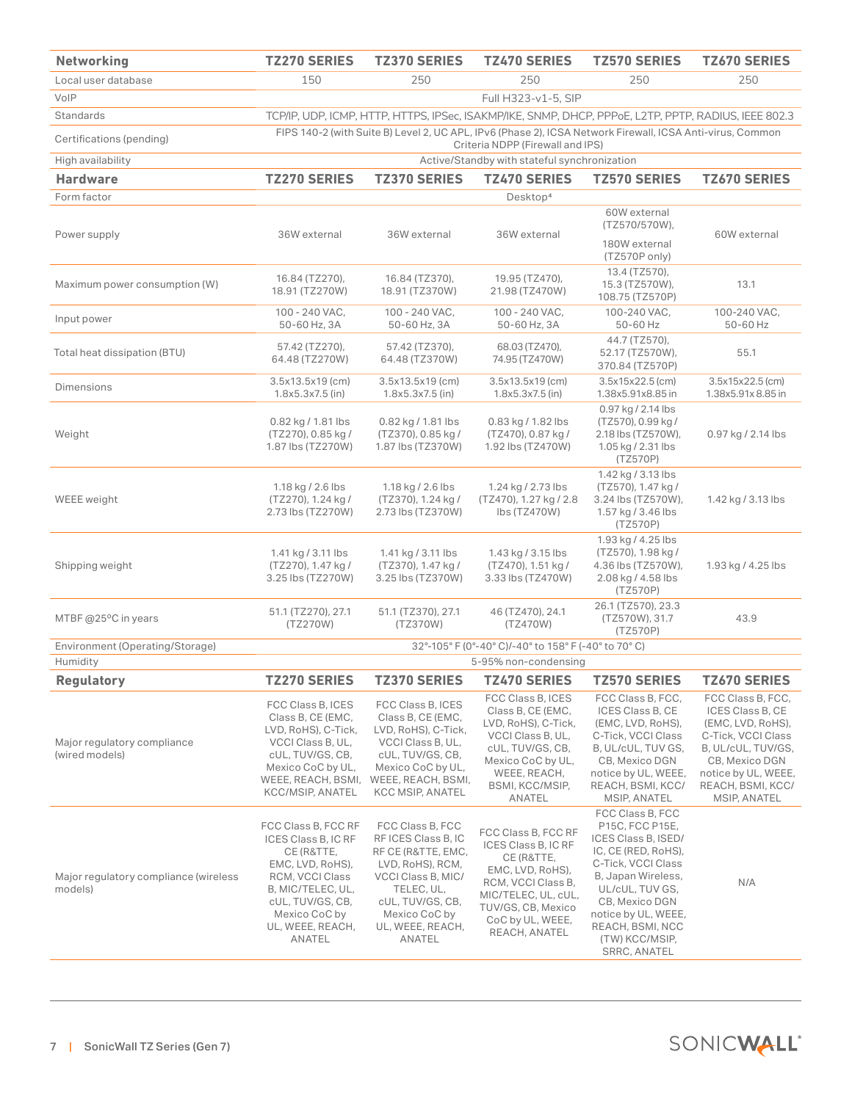| <b>Networking</b>                                | <b>TZ270 SERIES</b>                                                                                                                                                                     | <b>TZ370 SERIES</b>                                                                                                                                                                      | <b>TZ470 SERIES</b>                                                                                                                                                                  | <b>TZ570 SERIES</b>                                                                                                                                                                                                                             | <b>TZ670 SERIES</b>                                                                                                                                                                  |  |  |
|--------------------------------------------------|-----------------------------------------------------------------------------------------------------------------------------------------------------------------------------------------|------------------------------------------------------------------------------------------------------------------------------------------------------------------------------------------|--------------------------------------------------------------------------------------------------------------------------------------------------------------------------------------|-------------------------------------------------------------------------------------------------------------------------------------------------------------------------------------------------------------------------------------------------|--------------------------------------------------------------------------------------------------------------------------------------------------------------------------------------|--|--|
| Local user database                              | 150                                                                                                                                                                                     | 250                                                                                                                                                                                      | 250                                                                                                                                                                                  | 250                                                                                                                                                                                                                                             | 250                                                                                                                                                                                  |  |  |
| VoIP                                             | Full H323-v1-5, SIP                                                                                                                                                                     |                                                                                                                                                                                          |                                                                                                                                                                                      |                                                                                                                                                                                                                                                 |                                                                                                                                                                                      |  |  |
| Standards                                        | TCP/IP, UDP, ICMP, HTTP, HTTPS, IPSec, ISAKMP/IKE, SNMP, DHCP, PPPoE, L2TP, PPTP, RADIUS, IEEE 802.3                                                                                    |                                                                                                                                                                                          |                                                                                                                                                                                      |                                                                                                                                                                                                                                                 |                                                                                                                                                                                      |  |  |
| Certifications (pending)                         | FIPS 140-2 (with Suite B) Level 2, UC APL, IPv6 (Phase 2), ICSA Network Firewall, ICSA Anti-virus, Common<br>Criteria NDPP (Firewall and IPS)                                           |                                                                                                                                                                                          |                                                                                                                                                                                      |                                                                                                                                                                                                                                                 |                                                                                                                                                                                      |  |  |
| High availability                                | Active/Standby with stateful synchronization                                                                                                                                            |                                                                                                                                                                                          |                                                                                                                                                                                      |                                                                                                                                                                                                                                                 |                                                                                                                                                                                      |  |  |
| <b>Hardware</b>                                  | <b>TZ270 SERIES</b>                                                                                                                                                                     | <b>TZ370 SERIES</b>                                                                                                                                                                      | <b>TZ470 SERIES</b>                                                                                                                                                                  | <b>TZ570 SERIES</b>                                                                                                                                                                                                                             | <b>TZ670 SERIES</b>                                                                                                                                                                  |  |  |
| Form factor                                      |                                                                                                                                                                                         |                                                                                                                                                                                          | Desktop <sup>4</sup>                                                                                                                                                                 |                                                                                                                                                                                                                                                 |                                                                                                                                                                                      |  |  |
| Power supply                                     | 36W external                                                                                                                                                                            | 36W external                                                                                                                                                                             | 36W external                                                                                                                                                                         | 60W external<br>(TZ570/570W),                                                                                                                                                                                                                   | 60W external                                                                                                                                                                         |  |  |
|                                                  |                                                                                                                                                                                         |                                                                                                                                                                                          |                                                                                                                                                                                      | 180W external<br>(TZ570P only)                                                                                                                                                                                                                  |                                                                                                                                                                                      |  |  |
| Maximum power consumption (W)                    | 16.84 (TZ270),<br>18.91 (TZ270W)                                                                                                                                                        | 16.84 (TZ370),<br>18.91 (TZ370W)                                                                                                                                                         | 19.95 (TZ470),<br>21.98 (TZ470W)                                                                                                                                                     | 13.4 (TZ570),<br>15.3 (TZ570W),<br>108.75 (TZ570P)                                                                                                                                                                                              | 13.1                                                                                                                                                                                 |  |  |
| Input power                                      | 100 - 240 VAC,<br>50-60 Hz, 3A                                                                                                                                                          | 100 - 240 VAC,<br>50-60 Hz, 3A                                                                                                                                                           | 100 - 240 VAC,<br>50-60 Hz, 3A                                                                                                                                                       | 100-240 VAC,<br>50-60 Hz                                                                                                                                                                                                                        | 100-240 VAC,<br>50-60 Hz                                                                                                                                                             |  |  |
| Total heat dissipation (BTU)                     | 57.42 (TZ270),<br>64.48 (TZ270W)                                                                                                                                                        | 57.42 (TZ370),<br>64.48 (TZ370W)                                                                                                                                                         | 68.03 (TZ470),<br>74.95 (TZ470W)                                                                                                                                                     | 44.7 (TZ570),<br>52.17 (TZ570W),<br>370.84 (TZ570P)                                                                                                                                                                                             | 55.1                                                                                                                                                                                 |  |  |
| <b>Dimensions</b>                                | 3.5x13.5x19 (cm)<br>1.8x5.3x7.5 (in)                                                                                                                                                    | 3.5x13.5x19 (cm)<br>$1.8x5.3x7.5$ (in)                                                                                                                                                   | 3.5x13.5x19 (cm)<br>1.8x5.3x7.5 (in)                                                                                                                                                 | 3.5x15x22.5 (cm)<br>1.38x5.91x8.85 in                                                                                                                                                                                                           | 3.5x15x22.5 (cm)<br>1.38x5.91x8.85 in                                                                                                                                                |  |  |
| Weight                                           | 0.82 kg / 1.81 lbs<br>(TZ270), 0.85 kg /<br>1.87 lbs (TZ270W)                                                                                                                           | 0.82 kg / 1.81 lbs<br>(TZ370), 0.85 kg /<br>1.87 lbs (TZ370W)                                                                                                                            | 0.83 kg / 1.82 lbs<br>(TZ470), 0.87 kg /<br>1.92 lbs (TZ470W)                                                                                                                        | 0.97 kg / 2.14 lbs<br>(TZ570), 0.99 kg /<br>2.18 lbs (TZ570W),<br>1.05 kg / 2.31 lbs<br>(TZ570P)                                                                                                                                                | 0.97 kg / 2.14 lbs                                                                                                                                                                   |  |  |
| WEEE weight                                      | 1.18 kg / 2.6 lbs<br>(TZ270), 1.24 kg /<br>2.73 lbs (TZ270W)                                                                                                                            | 1.18 kg / 2.6 lbs<br>(TZ370), 1.24 kg /<br>2.73 lbs (TZ370W)                                                                                                                             | 1.24 kg / 2.73 lbs<br>(TZ470), 1.27 kg / 2.8<br>lbs (TZ470W)                                                                                                                         | 1.42 kg / 3.13 lbs<br>(TZ570), 1.47 kg /<br>3.24 lbs (TZ570W),<br>1.57 kg / 3.46 lbs<br>(TZ570P)                                                                                                                                                | 1.42 kg / 3.13 lbs                                                                                                                                                                   |  |  |
| Shipping weight                                  | 1.41 kg / 3.11 lbs<br>(TZ270), 1.47 kg /<br>3.25 lbs (TZ270W)                                                                                                                           | 1.41 kg / 3.11 lbs<br>(TZ370), 1.47 kg /<br>3.25 lbs (TZ370W)                                                                                                                            | 1.43 kg / 3.15 lbs<br>(TZ470), 1.51 kg /<br>3.33 lbs (TZ470W)                                                                                                                        | 1.93 kg / 4.25 lbs<br>(TZ570), 1.98 kg /<br>4.36 lbs (TZ570W),<br>2.08 kg / 4.58 lbs<br>(TZ570P)                                                                                                                                                | 1.93 kg / 4.25 lbs                                                                                                                                                                   |  |  |
| MTBF @25°C in years                              | 51.1 (TZ270), 27.1<br>(TZ270W)                                                                                                                                                          | 51.1 (TZ370), 27.1<br>(TZ370W)                                                                                                                                                           | 46 (TZ470), 24.1<br>(TZ470W)                                                                                                                                                         | 26.1 (TZ570), 23.3<br>(TZ570W), 31.7<br>(TZ570P)                                                                                                                                                                                                | 43.9                                                                                                                                                                                 |  |  |
| Environment (Operating/Storage)                  | 32°-105° F (0°-40° C)/-40° to 158° F (-40° to 70° C)                                                                                                                                    |                                                                                                                                                                                          |                                                                                                                                                                                      |                                                                                                                                                                                                                                                 |                                                                                                                                                                                      |  |  |
| Humidity                                         | 5-95% non-condensing                                                                                                                                                                    |                                                                                                                                                                                          |                                                                                                                                                                                      |                                                                                                                                                                                                                                                 |                                                                                                                                                                                      |  |  |
| <b>Regulatory</b>                                | <b>TZ270 SERIES</b>                                                                                                                                                                     | <b>TZ370 SERIES</b>                                                                                                                                                                      | <b>TZ470 SERIES</b>                                                                                                                                                                  | <b>TZ570 SERIES</b>                                                                                                                                                                                                                             | <b>TZ670 SERIES</b>                                                                                                                                                                  |  |  |
| Major regulatory compliance<br>(wired models)    | FCC Class B, ICES<br>Class B, CE (EMC,<br>LVD, RoHS), C-Tick,<br>VCCI Class B, UL,<br>cUL, TUV/GS, CB,<br>Mexico CoC by UL,<br>WEEE, REACH, BSMI,<br>KCC/MSIP, ANATEL                   | FCC Class B, ICES<br>Class B, CE (EMC,<br>LVD, RoHS), C-Tick,<br>VCCI Class B, UL,<br>cUL, TUV/GS, CB,<br>Mexico CoC by UL,<br>WEEE, REACH, BSMI,<br><b>KCC MSIP, ANATEL</b>             | FCC Class B, ICES<br>Class B, CE (EMC,<br>LVD, RoHS), C-Tick,<br>VCCI Class B, UL,<br>cUL, TUV/GS, CB,<br>Mexico CoC by UL,<br>WEEE, REACH,<br>BSMI, KCC/MSIP,<br>ANATEL             | FCC Class B, FCC,<br>ICES Class B, CE<br>(EMC, LVD, RoHS),<br>C-Tick, VCCI Class<br>B, UL/cUL, TUV GS,<br>CB, Mexico DGN<br>notice by UL, WEEE,<br>REACH, BSMI, KCC/<br><b>MSIP, ANATEL</b>                                                     | FCC Class B, FCC,<br>ICES Class B, CE<br>(EMC, LVD, RoHS),<br>C-Tick, VCCI Class<br>B, UL/cUL, TUV/GS,<br>CB, Mexico DGN<br>notice by UL, WEEE,<br>REACH, BSMI, KCC/<br>MSIP, ANATEL |  |  |
| Major regulatory compliance (wireless<br>models) | FCC Class B, FCC RF<br>ICES Class B, IC RF<br>CE (R&TTE,<br>EMC, LVD, RoHS),<br>RCM, VCCI Class<br>B, MIC/TELEC, UL,<br>cUL, TUV/GS, CB,<br>Mexico CoC by<br>UL, WEEE, REACH,<br>ANATEL | FCC Class B, FCC<br>RF ICES Class B, IC<br>RF CE (R&TTE, EMC,<br>LVD, RoHS), RCM,<br>VCCI Class B, MIC/<br>TELEC, UL,<br>cUL, TUV/GS, CB,<br>Mexico CoC by<br>UL, WEEE, REACH,<br>ANATEL | FCC Class B, FCC RF<br>ICES Class B, IC RF<br>CE (R&TTE,<br>EMC, LVD, RoHS),<br>RCM, VCCI Class B,<br>MIC/TELEC, UL, cUL,<br>TUV/GS, CB, Mexico<br>CoC by UL, WEEE,<br>REACH, ANATEL | FCC Class B, FCC<br>P15C, FCC P15E,<br>ICES Class B, ISED/<br>IC, CE (RED, RoHS),<br>C-Tick, VCCI Class<br>B, Japan Wireless,<br>UL/cUL, TUV GS,<br>CB, Mexico DGN<br>notice by UL, WEEE,<br>REACH, BSMI, NCC<br>(TW) KCC/MSIP,<br>SRRC, ANATEL | N/A                                                                                                                                                                                  |  |  |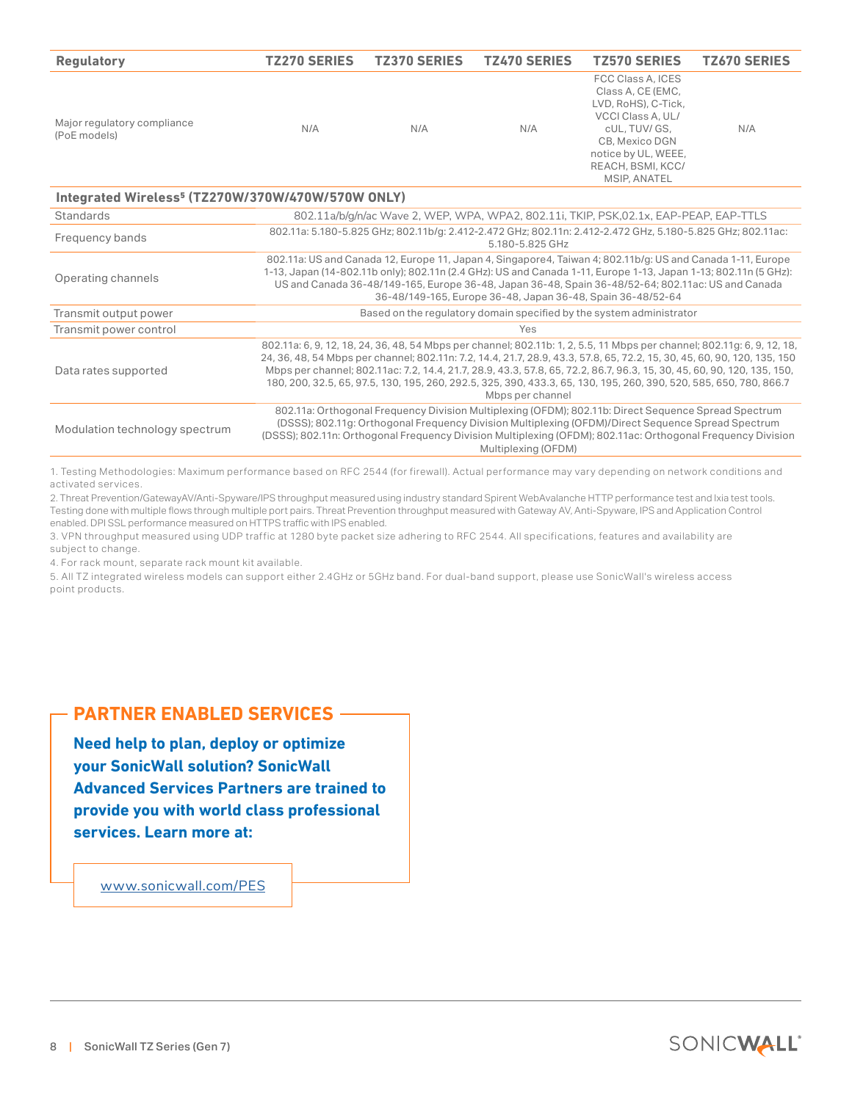| <b>Regulatory</b>                                             | <b>TZ270 SERIES</b>                                                                                                                                                                                                                                                                                                                                                                                                                                                                                                      | <b>TZ370 SERIES</b> | <b>TZ470 SERIES</b> | <b>TZ570 SERIES</b>                                                                                                                                                                      | <b>TZ670 SERIES</b> |  |  |
|---------------------------------------------------------------|--------------------------------------------------------------------------------------------------------------------------------------------------------------------------------------------------------------------------------------------------------------------------------------------------------------------------------------------------------------------------------------------------------------------------------------------------------------------------------------------------------------------------|---------------------|---------------------|------------------------------------------------------------------------------------------------------------------------------------------------------------------------------------------|---------------------|--|--|
| Major regulatory compliance<br>(PoE models)                   | N/A                                                                                                                                                                                                                                                                                                                                                                                                                                                                                                                      | N/A                 | N/A                 | FCC Class A, ICES<br>Class A, CE (EMC,<br>LVD, RoHS), C-Tick,<br>VCCI Class A, UL/<br>cUL. TUV/ GS.<br>CB, Mexico DGN<br>notice by UL, WEEE,<br>REACH, BSMI, KCC/<br><b>MSIP, ANATEL</b> | N/A                 |  |  |
| Integrated Wireless <sup>5</sup> (TZ270W/370W/470W/570W ONLY) |                                                                                                                                                                                                                                                                                                                                                                                                                                                                                                                          |                     |                     |                                                                                                                                                                                          |                     |  |  |
| <b>Standards</b>                                              | 802.11a/b/g/n/ac Wave 2, WEP, WPA, WPA2, 802.11i, TKIP, PSK,02.1x, EAP-PEAP, EAP-TTLS                                                                                                                                                                                                                                                                                                                                                                                                                                    |                     |                     |                                                                                                                                                                                          |                     |  |  |
| Frequency bands                                               | 802.11a: 5.180-5.825 GHz; 802.11b/g: 2.412-2.472 GHz; 802.11n: 2.412-2.472 GHz, 5.180-5.825 GHz; 802.11ac:<br>5.180-5.825 GHz                                                                                                                                                                                                                                                                                                                                                                                            |                     |                     |                                                                                                                                                                                          |                     |  |  |
| Operating channels                                            | 802.11a: US and Canada 12, Europe 11, Japan 4, Singapore4, Taiwan 4; 802.11b/g: US and Canada 1-11, Europe<br>1-13, Japan (14-802.11b only); 802.11n (2.4 GHz): US and Canada 1-11, Europe 1-13, Japan 1-13; 802.11n (5 GHz):<br>US and Canada 36-48/149-165, Europe 36-48, Japan 36-48, Spain 36-48/52-64; 802.11ac: US and Canada<br>36-48/149-165, Europe 36-48, Japan 36-48, Spain 36-48/52-64                                                                                                                       |                     |                     |                                                                                                                                                                                          |                     |  |  |
| Transmit output power                                         | Based on the regulatory domain specified by the system administrator                                                                                                                                                                                                                                                                                                                                                                                                                                                     |                     |                     |                                                                                                                                                                                          |                     |  |  |
| Transmit power control                                        | Yes                                                                                                                                                                                                                                                                                                                                                                                                                                                                                                                      |                     |                     |                                                                                                                                                                                          |                     |  |  |
| Data rates supported                                          | 802.11a: 6, 9, 12, 18, 24, 36, 48, 54 Mbps per channel; 802.11b: 1, 2, 5.5, 11 Mbps per channel; 802.11g: 6, 9, 12, 18,<br>24, 36, 48, 54 Mbps per channel; 802.11n: 7.2, 14.4, 21.7, 28.9, 43.3, 57.8, 65, 72.2, 15, 30, 45, 60, 90, 120, 135, 150<br>Mbps per channel; 802.11ac: 7.2, 14.4, 21.7, 28.9, 43.3, 57.8, 65, 72.2, 86.7, 96.3, 15, 30, 45, 60, 90, 120, 135, 150,<br>180, 200, 32.5, 65, 97.5, 130, 195, 260, 292.5, 325, 390, 433.3, 65, 130, 195, 260, 390, 520, 585, 650, 780, 866.7<br>Mbps per channel |                     |                     |                                                                                                                                                                                          |                     |  |  |
| Modulation technology spectrum                                | 802.11a: Orthogonal Frequency Division Multiplexing (OFDM); 802.11b: Direct Sequence Spread Spectrum<br>(DSSS); 802.11g: Orthogonal Frequency Division Multiplexing (OFDM)/Direct Sequence Spread Spectrum<br>(DSSS); 802.11n: Orthogonal Frequency Division Multiplexing (OFDM); 802.11ac: Orthogonal Frequency Division<br>Multiplexing (OFDM)                                                                                                                                                                         |                     |                     |                                                                                                                                                                                          |                     |  |  |

1. Testing Methodologies: Maximum performance based on RFC 2544 (for firewall). Actual performance may vary depending on network conditions and activated services.

2. Threat Prevention/GatewayAV/Anti-Spyware/IPS throughput measured using industry standard Spirent WebAvalanche HTTP performance test and Ixia test tools. Testing done with multiple flows through multiple port pairs. Threat Prevention throughput measured with Gateway AV, Anti-Spyware, IPS and Application Control enabled. DPI SSL performance measured on HTTPS traffic with IPS enabled.

3. VPN throughput measured using UDP traffic at 1280 byte packet size adhering to RFC 2544. All specifications, features and availability are subject to change.

4. For rack mount, separate rack mount kit available.

5. All TZ integrated wireless models can support either 2.4GHz or 5GHz band. For dual-band support, please use SonicWall's wireless access point products.

# **PARTNER ENABLED SERVICES**

**Need help to plan, deploy or optimize your SonicWall solution? SonicWall Advanced Services Partners are trained to provide you with world class professional services. Learn more at:**

www.sonicwall.com/PES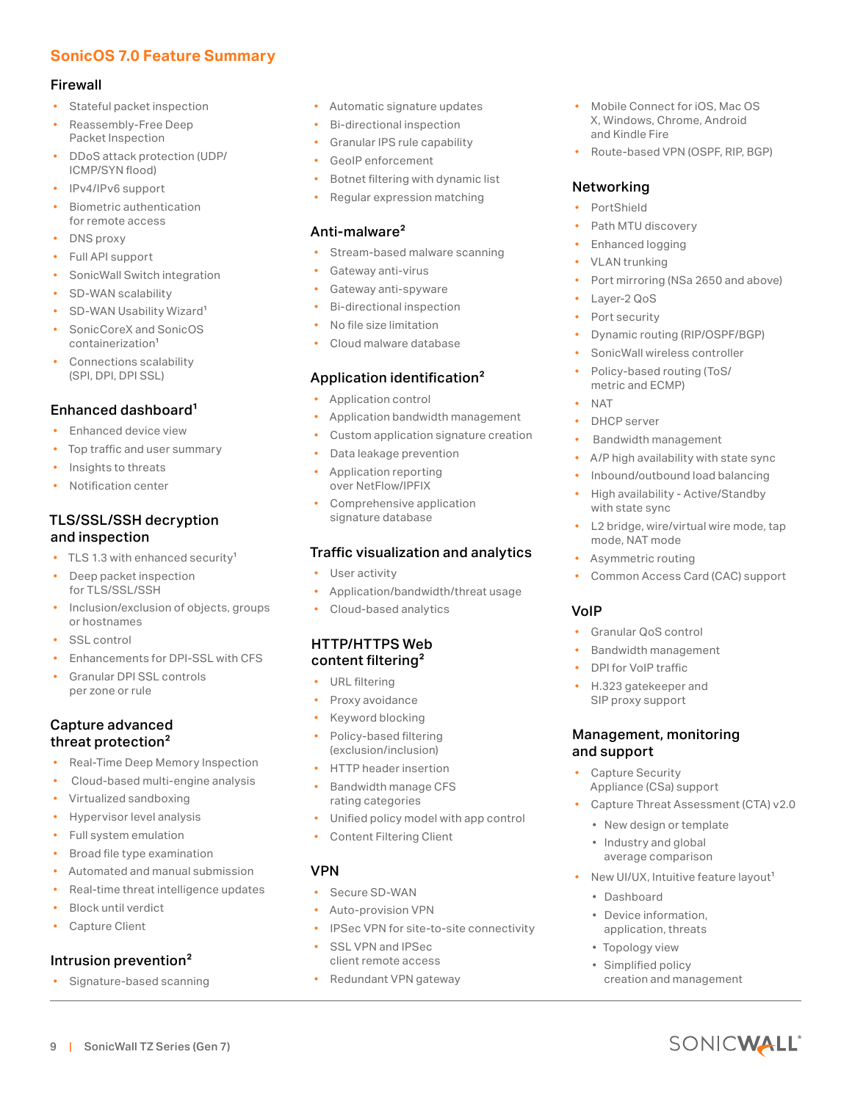# **SonicOS 7.0 Feature Summary**

#### Firewall

- Stateful packet inspection
- Reassembly-Free Deep Packet Inspection
- DDoS attack protection (UDP/ ICMP/SYN flood)
- IPv4/IPv6 support
- Biometric authentication for remote access
- DNS proxy
- Full API support
- SonicWall Switch integration
- SD-WAN scalability
- SD-WAN Usability Wizard<sup>1</sup>
- SonicCoreX and SonicOS containerization1
- Connections scalability (SPI, DPI, DPI SSL)

# Enhanced dashboard<sup>1</sup>

- Enhanced device view
- Top traffic and user summary
- Insights to threats
- Notification center

# TLS/SSL/SSH decryption and inspection

- TLS 1.3 with enhanced security<sup>1</sup>
- Deep packet inspection for TLS/SSL/SSH
- Inclusion/exclusion of objects, groups or hostnames
- SSL control
- Enhancements for DPI-SSL with CFS
- Granular DPI SSL controls per zone or rule

#### Capture advanced threat protection<sup>2</sup>

- Real-Time Deep Memory Inspection
- Cloud-based multi-engine analysis
- Virtualized sandboxing
- Hypervisor level analysis
- Full system emulation
- Broad file type examination
- Automated and manual submission
- Real-time threat intelligence updates
- Block until verdict
- Capture Client

# Intrusion prevention<sup>2</sup>

• Signature-based scanning

9 | SonicWall TZ Series (Gen 7)

- Automatic signature updates
- Bi-directional inspection
- Granular IPS rule capability
- GeoIP enforcement
- Botnet filtering with dynamic list
- Regular expression matching

#### Anti-malware<sup>2</sup>

- Stream-based malware scanning
- Gateway anti-virus
- Gateway anti-spyware
- Bi-directional inspection
- No file size limitation
- Cloud malware database

# Application identification<sup>2</sup>

- Application control
- Application bandwidth management
- Custom application signature creation
- Data leakage prevention
- Application reporting over NetFlow/IPFIX
- Comprehensive application signature database

#### Traffic visualization and analytics

- User activity
- Application/bandwidth/threat usage
- Cloud-based analytics

#### HTTP/HTTPS Web content filtering<sup>2</sup>

- URL filtering
- Proxy avoidance
- Keyword blocking
- Policy-based filtering (exclusion/inclusion)
- HTTP header insertion
- Bandwidth manage CFS rating categories
- Unified policy model with app control
- Content Filtering Client

#### VPN

- Secure SD-WAN
- Auto-provision VPN
- IPSec VPN for site-to-site connectivity
- SSL VPN and IPSec client remote access
- Redundant VPN gateway
- Mobile Connect for iOS, Mac OS X, Windows, Chrome, Android and Kindle Fire
- Route-based VPN (OSPF, RIP, BGP)

#### Networking

- **PortShield**
- Path MTU discovery
- Enhanced logging
- VLAN trunking
- Port mirroring (NSa 2650 and above)
- Layer-2 QoS
- Port security
- Dynamic routing (RIP/OSPF/BGP)
- SonicWall wireless controller
- Policy-based routing (ToS/ metric and ECMP)
- NAT

VoIP

- DHCP server
- Bandwidth management
- A/P high availability with state sync
- Inbound/outbound load balancing
- High availability Active/Standby with state sync
- L2 bridge, wire/virtual wire mode, tap mode, NAT mode
- Asymmetric routing

• Granular QoS control • Bandwidth management • DPI for VoIP traffic • H.323 gatekeeper and SIP proxy support

Management, monitoring

Appliance (CSa) support

• New design or template • Industry and global average comparison

• Capture Threat Assessment (CTA) v2.0

New UI/UX, Intuitive feature layout<sup>1</sup>

creation and management

SONICWALL

and support • Capture Security

• Dashboard

• Device information, application, threats • Topology view • Simplified policy

• Common Access Card (CAC) support